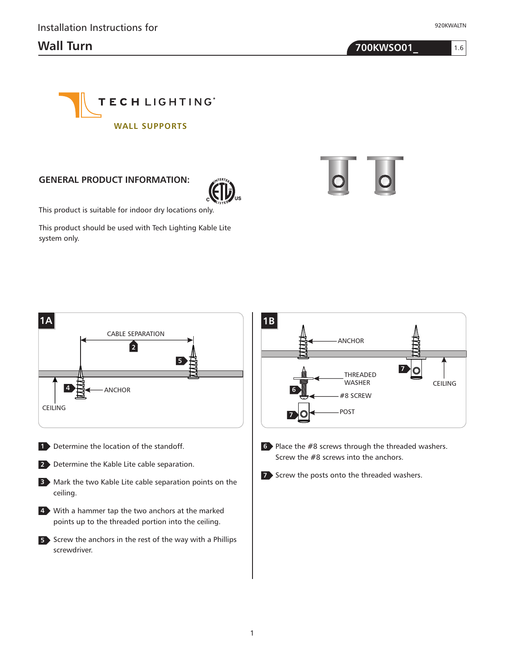1.6

**Wall Turn 700KWSO01\_**



## **GENERAL PRODUCT INFORMATION:**



This product is suitable for indoor dry locations only.

This product should be used with Tech Lighting Kable Lite system only.

CABLE SEPARATION

**2**

**5**



- 1 Determine the location of the standoff.
- Determine the Kable Lite cable separation. **2**

ANCHOR

CEILING

**4**

**1A**

- Mark the two Kable Lite cable separation points on the **3** ceiling.
- With a hammer tap the two anchors at the marked **4** points up to the threaded portion into the ceiling.
- **5** Screw the anchors in the rest of the way with a Phillips screwdriver.
- Screw the posts onto the threaded washers. **7**

Screw the #8 screws into the anchors.

Place the #8 screws through the threaded washers. **6**